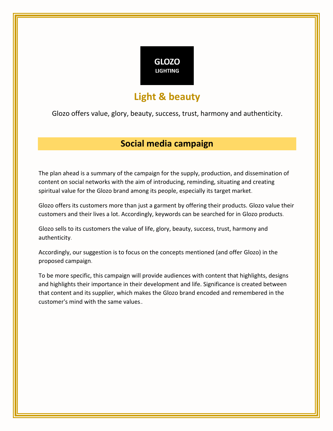

# **Light & beauty**

Glozo offers value, glory, beauty, success, trust, harmony and authenticity .

# **Social media campaign**

The plan ahead is a summary of the campaign for the supply, production, and dissemination of content on social networks with the aim of introducing, reminding, situating and creating spiritual value for the Glozo brand among its people, especially its target market.

Glozo offers its customers more than just a garment by offering their products. Glozo value their customers and their lives a lot. Accordingly, keywords can be searched for in Glozo products.

Glozo sells to its customers the value of life, glory, beauty, success, trust, harmony and authenticity.

Accordingly, our suggestion is to focus on the concepts mentioned (and offer Glozo) in the proposed campaign.

To be more specific, this campaign will provide audiences with content that highlights, designs and highlights their importance in their development and life. Significance is created between that content and its supplier, which makes the Glozo brand encoded and remembered in the customer's mind with the same values..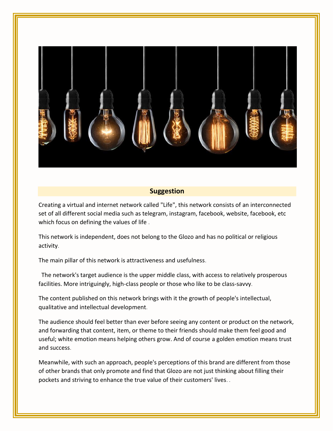

#### **Suggestion**

Creating a virtual and internet network called "Life", this network consists of an interconnected set of all different social media such as telegram, instagram, facebook, website, facebook, etc which focus on defining the values of life.

This network is independent, does not belong to the Glozo and has no political or religious activity.

The main pillar of this network is attractiveness and usefulness.

The network's target audience is the upper middle class, with access to relatively prosperous facilities. More intriguingly, high-class people or those who like to be class-savvy.

The content published on this network brings with it the growth of people's intellectual, qualitative and intellectual development.

The audience should feel better than ever before seeing any content or product on the network, and forwarding that content, item, or theme to their friends should make them feel good and useful; white emotion means helping others grow. And of course a golden emotion means trust and success.

Meanwhile, with such an approach, people's perceptions of this brand are different from those of other brands that only promote and find that Glozo are not just thinking about filling their pockets and striving to enhance the true value of their customers' lives. .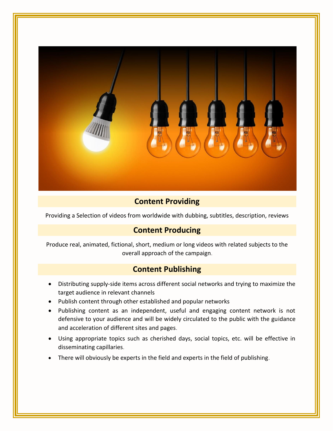

## **Content Providing**

Providing a Selection of videos from worldwide with dubbing, subtitles, description, reviews

#### **Content Producing**

Produce real, animated, fictional, short, medium or long videos with related subjects to the overall approach of the campaign.

#### **Content Publishing**

- Distributing supply-side items across different social networks and trying to maximize the target audience in relevant channels
- Publish content through other established and popular networks
- Publishing content as an independent, useful and engaging content network is not defensive to your audience and will be widely circulated to the public with the guidance and acceleration of different sites and pages.
- Using appropriate topics such as cherished days, social topics, etc. will be effective in disseminating capillaries .
- There will obviously be experts in the field and experts in the field of publishing.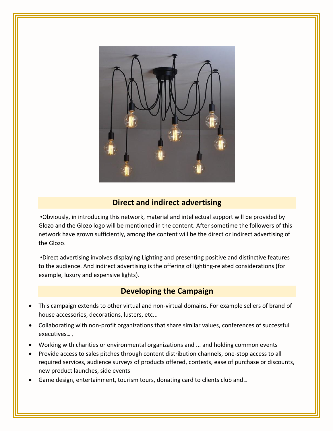

## **Direct and indirect advertising**

•Obviously, in introducing this network, material and intellectual support will be provided by Glozo and the Glozo logo will be mentioned in the content. After sometime the followers of this network have grown sufficiently, among the content will be the direct or indirect advertising of the Glozo.

•Direct advertising involves displaying Lighting and presenting positive and distinctive features to the audience. And indirect advertising is the offering of lighting-related considerations (for example, luxury and expensive lights).

### **Developing the Campaign**

- This campaign extends to other virtual and non-virtual domains. For example sellers of brand of house accessories, decorations, lusters, etc...
- Collaborating with non-profit organizations that share similar values, conferences of successful executives... ,
- Working with charities or environmental organizations and ... and holding common events
- Provide access to sales pitches through content distribution channels, one-stop access to all required services, audience surveys of products offered, contests, ease of purchase or discounts, new product launches, side events
- Game design, entertainment, tourism tours, donating card to clients club and...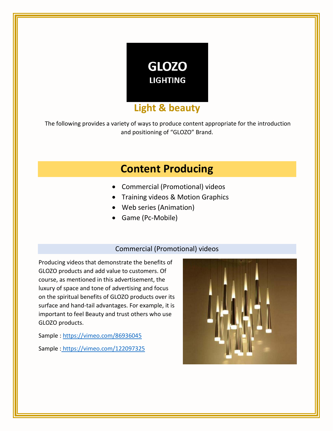

The following provides a variety of ways to produce content appropriate for the introduction and positioning of "GLOZO" Brand.

# **Content Producing**

- Commercial (Promotional) videos
- Training videos & Motion Graphics
- Web series (Animation)
- Game (Pc-Mobile)

#### Commercial (Promotional) videos

Producing videos that demonstrate the benefits of GLOZO products and add value to customers. Of course, as mentioned in this advertisement, the luxury of space and tone of advertising and focus on the spiritual benefits of GLOZO products over its surface and hand-tail advantages. For example, it is important to feel Beauty and trust others who use GLOZO products.

Sample:<https://vimeo.com/86936045> Sample : https://vimeo.com/122097325

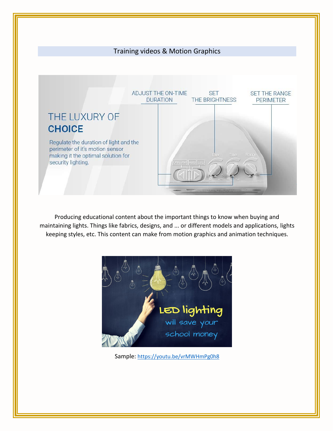

Producing educational content about the important things to know when buying and maintaining lights. Things like fabrics, designs, and ... or different models and applications, lights keeping styles, etc. This content can make from motion graphics and animation techniques.



Sample: <https://youtu.be/vrMWHmPg0h8>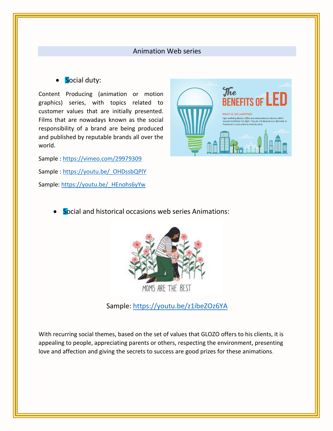#### Animation Web series

#### Social duty:

Content Producing (animation or motion graphics) series, with topics related to customer values that are initially presented. Films that are nowadays known as the social responsibility of a brand are being produced and published by reputable brands all over the world.

Sample:<https://vimeo.com/29979309> Sample : [https://youtu.be/\\_OHDssbQPlY](https://youtu.be/_OHDssbQPlY) Sample: https://youtu.be/ HEnohs6yYw



**Social and historical occasions web series Animations:** 



Sample:<https://youtu.be/z1ibeZOz6YA>

With recurring social themes, based on the set of values that GLOZO offers to his clients, it is appealing to people, appreciating parents or others, respecting the environment, presenting love and affection and giving the secrets to success are good prizes for these animations.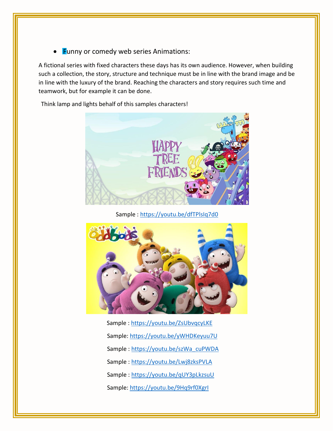• Funny or comedy web series Animations:

A fictional series with fixed characters these days has its own audience. However, when building such a collection, the story, structure and technique must be in line with the brand image and be in line with the luxury of the brand. Reaching the characters and story requires such time and teamwork, but for example it can be done.

Think lamp and lights behalf of this samples characters!



Sample[: https://youtu.be/dfTPlsIq7d0](https://youtu.be/dfTPlsIq7d0)



Sample :<https://youtu.be/ZsUbvqcyLKE> Sample[: https://youtu.be/yWHDKeyuu7U](https://youtu.be/yWHDKeyuu7U) Sample : [https://youtu.be/szWa\\_cuPWDA](https://youtu.be/szWa_cuPWDA) Sample :<https://youtu.be/Lwj8zksPVLA> Sample:<https://youtu.be/qUY3pLkzsuU> Sample[: https://youtu.be/9Hq9rf0XgrI](https://youtu.be/9Hq9rf0XgrI)